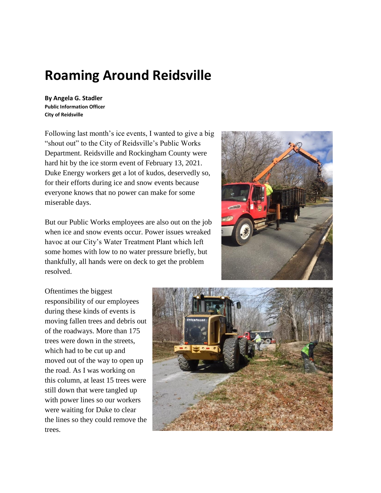## **Roaming Around Reidsville**

**By Angela G. Stadler Public Information Officer City of Reidsville**

Following last month's ice events, I wanted to give a big "shout out" to the City of Reidsville's Public Works Department. Reidsville and Rockingham County were hard hit by the ice storm event of February 13, 2021. Duke Energy workers get a lot of kudos, deservedly so, for their efforts during ice and snow events because everyone knows that no power can make for some miserable days.

But our Public Works employees are also out on the job when ice and snow events occur. Power issues wreaked havoc at our City's Water Treatment Plant which left some homes with low to no water pressure briefly, but thankfully, all hands were on deck to get the problem resolved.



Oftentimes the biggest responsibility of our employees during these kinds of events is moving fallen trees and debris out of the roadways. More than 175 trees were down in the streets, which had to be cut up and moved out of the way to open up the road. As I was working on this column, at least 15 trees were still down that were tangled up with power lines so our workers were waiting for Duke to clear the lines so they could remove the trees.

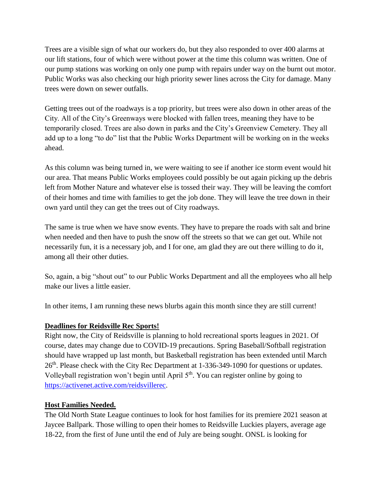Trees are a visible sign of what our workers do, but they also responded to over 400 alarms at our lift stations, four of which were without power at the time this column was written. One of our pump stations was working on only one pump with repairs under way on the burnt out motor. Public Works was also checking our high priority sewer lines across the City for damage. Many trees were down on sewer outfalls.

Getting trees out of the roadways is a top priority, but trees were also down in other areas of the City. All of the City's Greenways were blocked with fallen trees, meaning they have to be temporarily closed. Trees are also down in parks and the City's Greenview Cemetery. They all add up to a long "to do" list that the Public Works Department will be working on in the weeks ahead.

As this column was being turned in, we were waiting to see if another ice storm event would hit our area. That means Public Works employees could possibly be out again picking up the debris left from Mother Nature and whatever else is tossed their way. They will be leaving the comfort of their homes and time with families to get the job done. They will leave the tree down in their own yard until they can get the trees out of City roadways.

The same is true when we have snow events. They have to prepare the roads with salt and brine when needed and then have to push the snow off the streets so that we can get out. While not necessarily fun, it is a necessary job, and I for one, am glad they are out there willing to do it, among all their other duties.

So, again, a big "shout out" to our Public Works Department and all the employees who all help make our lives a little easier.

In other items, I am running these news blurbs again this month since they are still current!

## **Deadlines for Reidsville Rec Sports!**

Right now, the City of Reidsville is planning to hold recreational sports leagues in 2021. Of course, dates may change due to COVID-19 precautions. Spring Baseball/Softball registration should have wrapped up last month, but Basketball registration has been extended until March 26<sup>th</sup>. Please check with the City Rec Department at 1-336-349-1090 for questions or updates. Volleyball registration won't begin until April 5<sup>th</sup>. You can register online by going to [https://activenet.active.com/reidsvillerec.](https://activenet.active.com/reidsvillerec)

## **Host Families Needed.**

The Old North State League continues to look for host families for its premiere 2021 season at Jaycee Ballpark. Those willing to open their homes to Reidsville Luckies players, average age 18-22, from the first of June until the end of July are being sought. ONSL is looking for